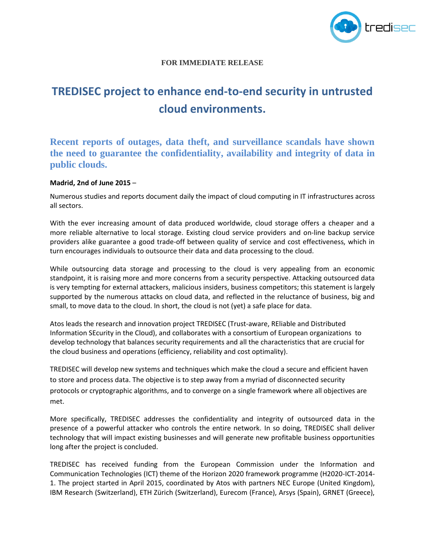

## **FOR IMMEDIATE RELEASE**

## **TREDISEC project to enhance end-to-end security in untrusted cloud environments.**

**Recent reports of outages, data theft, and surveillance scandals have shown the need to guarantee the confidentiality, availability and integrity of data in public clouds.**

## **Madrid, 2nd of June 2015** –

Numerous studies and reports document daily the impact of cloud computing in IT infrastructures across all sectors.

With the ever increasing amount of data produced worldwide, cloud storage offers a cheaper and a more reliable alternative to local storage. Existing cloud service providers and on-line backup service providers alike guarantee a good trade-off between quality of service and cost effectiveness, which in turn encourages individuals to outsource their data and data processing to the cloud.

While outsourcing data storage and processing to the cloud is very appealing from an economic standpoint, it is raising more and more concerns from a security perspective. Attacking outsourced data is very tempting for external attackers, malicious insiders, business competitors; this statement is largely supported by the numerous attacks on cloud data, and reflected in the reluctance of business, big and small, to move data to the cloud. In short, the cloud is not (yet) a safe place for data.

Atos leads the research and innovation project TREDISEC (Trust-aware, REliable and Distributed Information SEcurity in the Cloud), and collaborates with a consortium of European organizations to develop technology that balances security requirements and all the characteristics that are crucial for the cloud business and operations (efficiency, reliability and cost optimality).

TREDISEC will develop new systems and techniques which make the cloud a secure and efficient haven to store and process data. The objective is to step away from a myriad of disconnected security protocols or cryptographic algorithms, and to converge on a single framework where all objectives are met.

More specifically, TREDISEC addresses the confidentiality and integrity of outsourced data in the presence of a powerful attacker who controls the entire network. In so doing, TREDISEC shall deliver technology that will impact existing businesses and will generate new profitable business opportunities long after the project is concluded.

TREDISEC has received funding from the European Commission under the Information and Communication Technologies (ICT) theme of the Horizon 2020 framework programme (H2020-ICT-2014- 1. The project started in April 2015, coordinated by Atos with partners NEC Europe (United Kingdom), IBM Research (Switzerland), ETH Zürich (Switzerland), Eurecom (France), Arsys (Spain), GRNET (Greece),